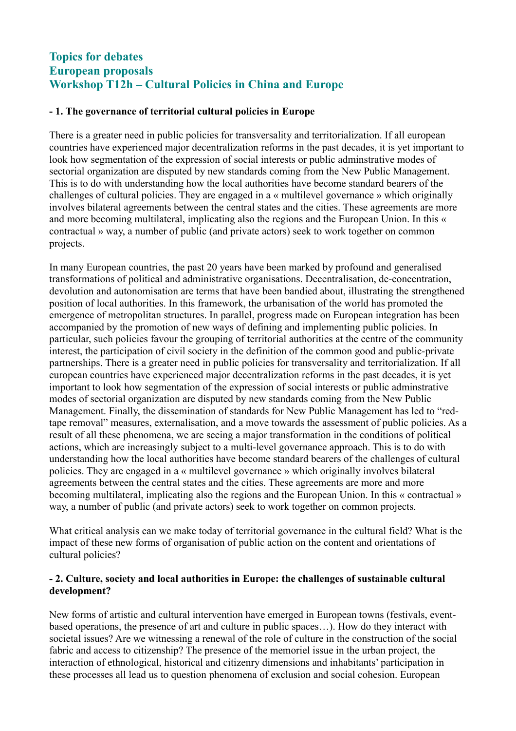# **Topics for debates European proposals Workshop T12h – Cultural Policies in China and Europe**

### **- 1. The governance of territorial cultural policies in Europe**

There is a greater need in public policies for transversality and territorialization. If all european countries have experienced major decentralization reforms in the past decades, it is yet important to look how segmentation of the expression of social interests or public adminstrative modes of sectorial organization are disputed by new standards coming from the New Public Management. This is to do with understanding how the local authorities have become standard bearers of the challenges of cultural policies. They are engaged in a « multilevel governance » which originally involves bilateral agreements between the central states and the cities. These agreements are more and more becoming multilateral, implicating also the regions and the European Union. In this « contractual » way, a number of public (and private actors) seek to work together on common projects.

In many European countries, the past 20 years have been marked by profound and generalised transformations of political and administrative organisations. Decentralisation, de-concentration, devolution and autonomisation are terms that have been bandied about, illustrating the strengthened position of local authorities. In this framework, the urbanisation of the world has promoted the emergence of metropolitan structures. In parallel, progress made on European integration has been accompanied by the promotion of new ways of defining and implementing public policies. In particular, such policies favour the grouping of territorial authorities at the centre of the community interest, the participation of civil society in the definition of the common good and public-private partnerships. There is a greater need in public policies for transversality and territorialization. If all european countries have experienced major decentralization reforms in the past decades, it is yet important to look how segmentation of the expression of social interests or public adminstrative modes of sectorial organization are disputed by new standards coming from the New Public Management. Finally, the dissemination of standards for New Public Management has led to "redtape removal" measures, externalisation, and a move towards the assessment of public policies. As a result of all these phenomena, we are seeing a major transformation in the conditions of political actions, which are increasingly subject to a multi-level governance approach. This is to do with understanding how the local authorities have become standard bearers of the challenges of cultural policies. They are engaged in a « multilevel governance » which originally involves bilateral agreements between the central states and the cities. These agreements are more and more becoming multilateral, implicating also the regions and the European Union. In this « contractual » way, a number of public (and private actors) seek to work together on common projects.

What critical analysis can we make today of territorial governance in the cultural field? What is the impact of these new forms of organisation of public action on the content and orientations of cultural policies?

#### **- 2. Culture, society and local authorities in Europe: the challenges of sustainable cultural development?**

New forms of artistic and cultural intervention have emerged in European towns (festivals, eventbased operations, the presence of art and culture in public spaces…). How do they interact with societal issues? Are we witnessing a renewal of the role of culture in the construction of the social fabric and access to citizenship? The presence of the memoriel issue in the urban project, the interaction of ethnological, historical and citizenry dimensions and inhabitants' participation in these processes all lead us to question phenomena of exclusion and social cohesion. European